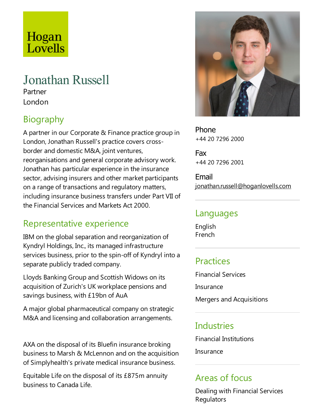# Hogan Lovells

## Jonathan Russell

Partner London

## Biography

A partner in our Corporate & Finance practice group in London, Jonathan Russell's practice covers crossborder and domestic M&A, joint ventures, reorganisations and general corporate advisory work. Jonathan has particular experience in the insurance sector, advising insurers and other market participants on arange of transactions and regulatory matters, including insurance business transfers under Part VII of the Financial Services and Markets Act 2000.

### Representative experience

IBM on the global separation and reorganization of Kyndryl Holdings, Inc., its managed infrastructure services business, prior to the spin-off of Kyndryl into a separate publicly traded company.

Lloyds Banking Group and Scottish Widows on its acquisition of Zurich's UK workplace pensions and savings business, with £19bn of AuA

A major global pharmaceutical company on strategic M&A and licensing and collaboration arrangements.

AXA on the disposal of its Bluefin insurance broking business to Marsh & McLennon and on the acquisition of Simplyhealth's private medical insurance business.

EquitableLife on the disposal of its £875m annuity business to Canada Life.



Phone +44 20 7296 2000

Fax +44 20 7296 2001

Email jonathan.russell@hoganlovells.com

#### Languages

English French

#### Practices

Financial Services Insurance Mergers and Acquisitions

#### Industries

Financial Institutions

Insurance

#### Areas of focus

Dealing with Financial Services **Regulators**